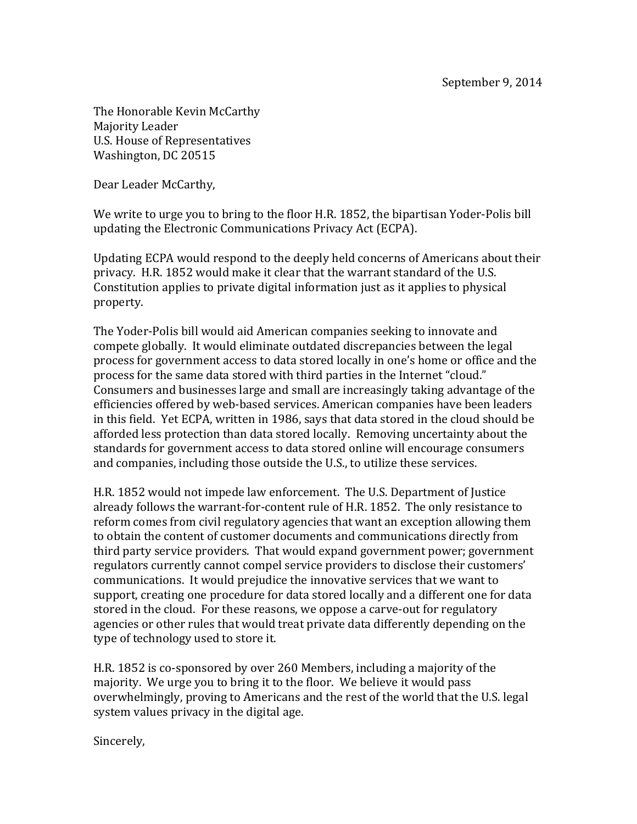The Honorable Kevin McCarthy Majority Leader U.S. House of Representatives Washington, DC 20515

Dear Leader McCarthy,

We write to urge you to bring to the floor H.R. 1852, the bipartisan Yoder-Polis bill updating the Electronic Communications Privacy Act (ECPA).

Updating ECPA would respond to the deeply held concerns of Americans about their privacy. H.R. 1852 would make it clear that the warrant standard of the U.S. Constitution applies to private digital information just as it applies to physical property. 

The Yoder-Polis bill would aid American companies seeking to innovate and compete globally. It would eliminate outdated discrepancies between the legal process for government access to data stored locally in one's home or office and the process for the same data stored with third parties in the Internet "cloud." Consumers and businesses large and small are increasingly taking advantage of the efficiencies offered by web-based services. American companies have been leaders in this field. Yet ECPA, written in 1986, says that data stored in the cloud should be afforded less protection than data stored locally. Removing uncertainty about the standards for government access to data stored online will encourage consumers and companies, including those outside the U.S., to utilize these services.

H.R. 1852 would not impede law enforcement. The U.S. Department of Justice already follows the warrant-for-content rule of H.R. 1852. The only resistance to reform comes from civil regulatory agencies that want an exception allowing them to obtain the content of customer documents and communications directly from third party service providers. That would expand government power; government regulators currently cannot compel service providers to disclose their customers' communications. It would prejudice the innovative services that we want to support, creating one procedure for data stored locally and a different one for data stored in the cloud. For these reasons, we oppose a carve-out for regulatory agencies or other rules that would treat private data differently depending on the type of technology used to store it.

H.R. 1852 is co-sponsored by over 260 Members, including a majority of the majority. We urge you to bring it to the floor. We believe it would pass overwhelmingly, proving to Americans and the rest of the world that the U.S. legal system values privacy in the digital age.

Sincerely,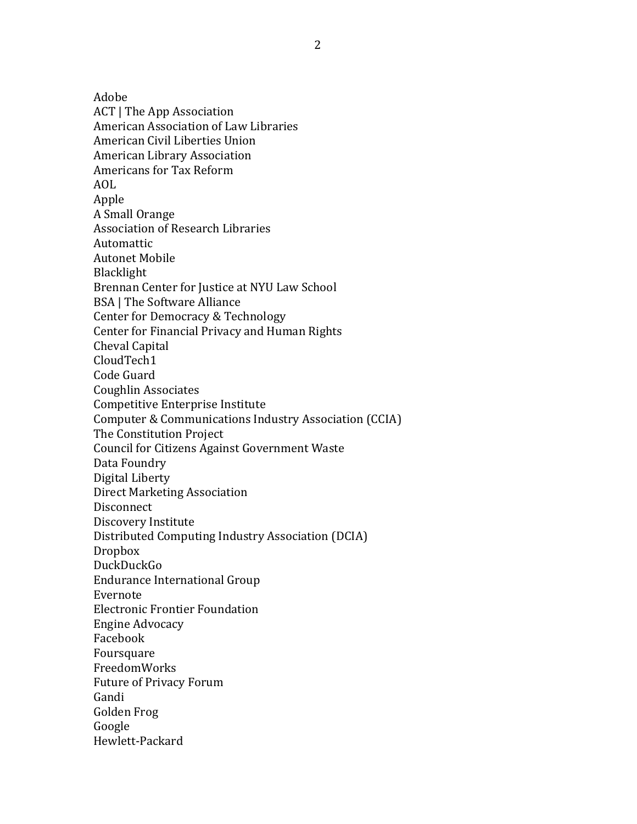Adobe

ACT | The App Association American Association of Law Libraries American Civil Liberties Union American Library Association Americans for Tax Reform AOL Apple A Small Orange Association of Research Libraries Automattic **Autonet Mobile** Blacklight Brennan Center for Justice at NYU Law School BSA | The Software Alliance Center for Democracy & Technology Center for Financial Privacy and Human Rights Cheval Capital CloudTech1 Code Guard Coughlin Associates Competitive Enterprise Institute Computer & Communications Industry Association (CCIA) The Constitution Project Council for Citizens Against Government Waste Data Foundry Digital Liberty Direct Marketing Association **Disconnect** Discovery Institute Distributed Computing Industry Association (DCIA) Dropbox DuckDuckGo Endurance International Group Evernote Electronic Frontier Foundation Engine Advocacy Facebook Foursquare FreedomWorks Future of Privacy Forum Gandi Golden Frog Google Hewlett-Packard